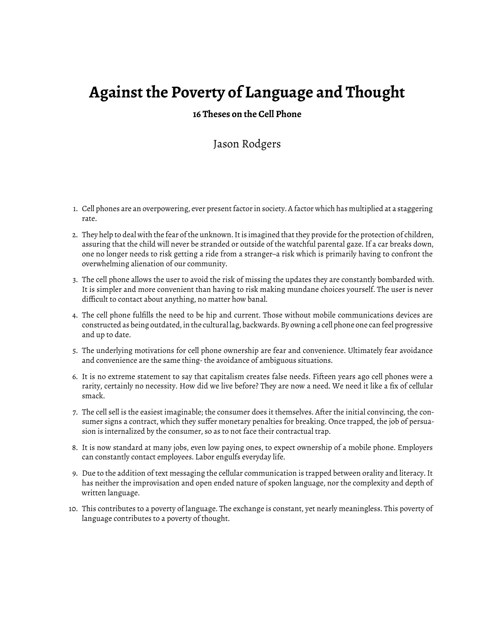## **Against the Poverty of Language and Thought**

## **16 Theses on the Cell Phone**

## Jason Rodgers

- 1. Cell phones are an overpowering, ever present factor in society. A factor which has multiplied at a staggering rate.
- 2. They help to deal with the fear of the unknown. It is imagined that they provide for the protection of children, assuring that the child will never be stranded or outside of the watchful parental gaze. If a car breaks down, one no longer needs to risk getting a ride from a stranger–a risk which is primarily having to confront the overwhelming alienation of our community.
- 3. The cell phone allows the user to avoid the risk of missing the updates they are constantly bombarded with. It is simpler and more convenient than having to risk making mundane choices yourself. The user is never difficult to contact about anything, no matter how banal.
- 4. The cell phone fulfills the need to be hip and current. Those without mobile communications devices are constructed as being outdated, in the cultural lag, backwards. By owning a cell phone one can feel progressive and up to date.
- 5. The underlying motivations for cell phone ownership are fear and convenience. Ultimately fear avoidance and convenience are the same thing- the avoidance of ambiguous situations.
- 6. It is no extreme statement to say that capitalism creates false needs. Fifteen years ago cell phones were a rarity, certainly no necessity. How did we live before? They are now a need. We need it like a fix of cellular smack.
- 7. The cell sell is the easiest imaginable; the consumer does it themselves. After the initial convincing, the consumer signs a contract, which they suffer monetary penalties for breaking. Once trapped, the job of persuasion is internalized by the consumer, so as to not face their contractual trap.
- 8. It is now standard at many jobs, even low paying ones, to expect ownership of a mobile phone. Employers can constantly contact employees. Labor engulfs everyday life.
- 9. Due to the addition of text messaging the cellular communication is trapped between orality and literacy. It has neither the improvisation and open ended nature of spoken language, nor the complexity and depth of written language.
- 10. This contributes to a poverty of language. The exchange is constant, yet nearly meaningless. This poverty of language contributes to a poverty of thought.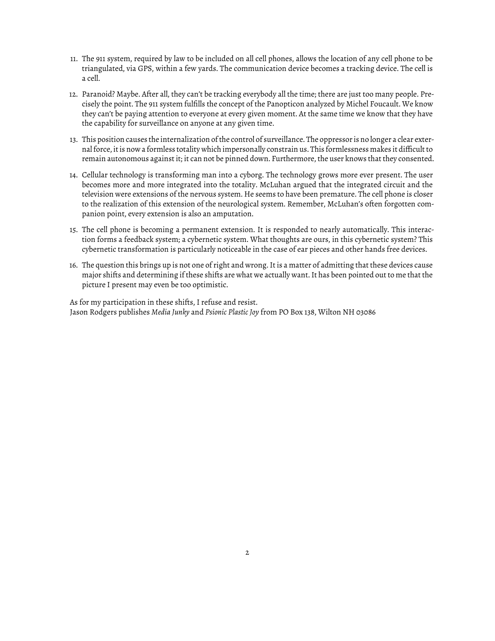- 11. The 911 system, required by law to be included on all cell phones, allows the location of any cell phone to be triangulated, via GPS, within a few yards. The communication device becomes a tracking device. The cell is a cell.
- 12. Paranoid? Maybe. After all, they can't be tracking everybody all the time; there are just too many people. Precisely the point. The 911 system fulfills the concept of the Panopticon analyzed by Michel Foucault. We know they can't be paying attention to everyone at every given moment. At the same time we know that they have the capability for surveillance on anyone at any given time.
- 13. This position causes the internalization of the control of surveillance. The oppressor is no longer a clear external force, it is now a formless totality which impersonally constrain us. This formlessness makes it difficult to remain autonomous against it; it can not be pinned down. Furthermore, the user knows that they consented.
- 14. Cellular technology is transforming man into a cyborg. The technology grows more ever present. The user becomes more and more integrated into the totality. McLuhan argued that the integrated circuit and the television were extensions of the nervous system. He seems to have been premature. The cell phone is closer to the realization of this extension of the neurological system. Remember, McLuhan's often forgotten companion point, every extension is also an amputation.
- 15. The cell phone is becoming a permanent extension. It is responded to nearly automatically. This interaction forms a feedback system; a cybernetic system. What thoughts are ours, in this cybernetic system? This cybernetic transformation is particularly noticeable in the case of ear pieces and other hands free devices.
- 16. The question this brings up is not one of right and wrong. It is a matter of admitting that these devices cause major shifts and determining if these shifts are what we actually want. It has been pointed out to me that the picture I present may even be too optimistic.

As for my participation in these shifts, I refuse and resist. Jason Rodgers publishes *Media Junky* and *Psionic Plastic Joy* from PO Box 138, Wilton NH 03086